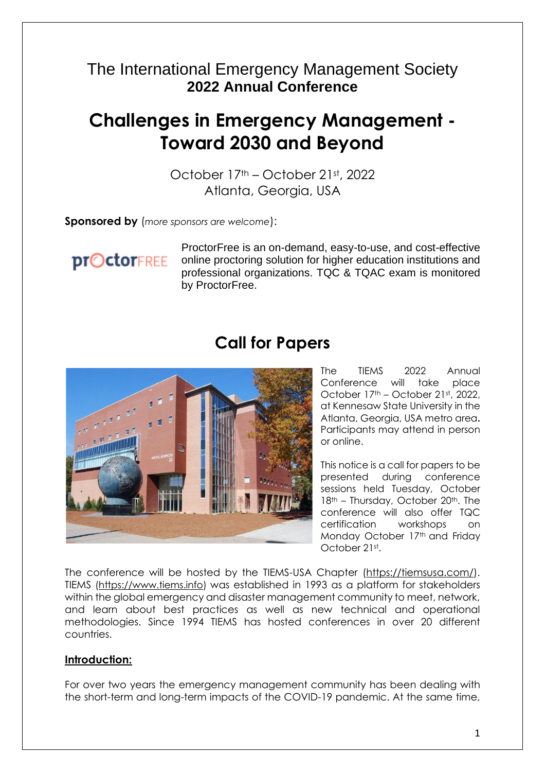### The International Emergency Management Society **2022 Annual Conference**

# **Challenges in Emergency Management - Toward 2030 and Beyond**

October 17th – October 21st, 2022 Atlanta, Georgia, USA

**Sponsored by** (*more sponsors are welcome*):

**proctorFREE** 

ProctorFree is an on-demand, easy-to-use, and cost-effective online proctoring solution for higher education institutions and professional organizations. TQC & TQAC exam is monitored by ProctorFree.

## **Call for Papers**



The TIEMS 2022 Annual Conference will take place October 17<sup>th</sup> – October 21st, 2022, at Kennesaw State University in the Atlanta, Georgia, USA metro area**.**  Participants may attend in person or online.

This notice is a call for papers to be presented during conference sessions held Tuesday, October 18<sup>th</sup> – Thursday, October 20<sup>th</sup>. The conference will also offer TQC certification workshops on Monday October 17th and Friday October 21st.

The conference will be hosted by the TIEMS-USA Chapter [\(https://tiemsusa.com/\)](https://tiemsusa.com/). TIEMS [\(https://www.tiems.info\)](https://www.tiems.info/) was established in 1993 as a platform for stakeholders within the global emergency and disaster management community to meet, network, and learn about best practices as well as new technical and operational methodologies. Since 1994 TIEMS has hosted conferences in over 20 different countries.

#### **Introduction:**

For over two years the emergency management community has been dealing with the short-term and long-term impacts of the COVID-19 pandemic. At the same time,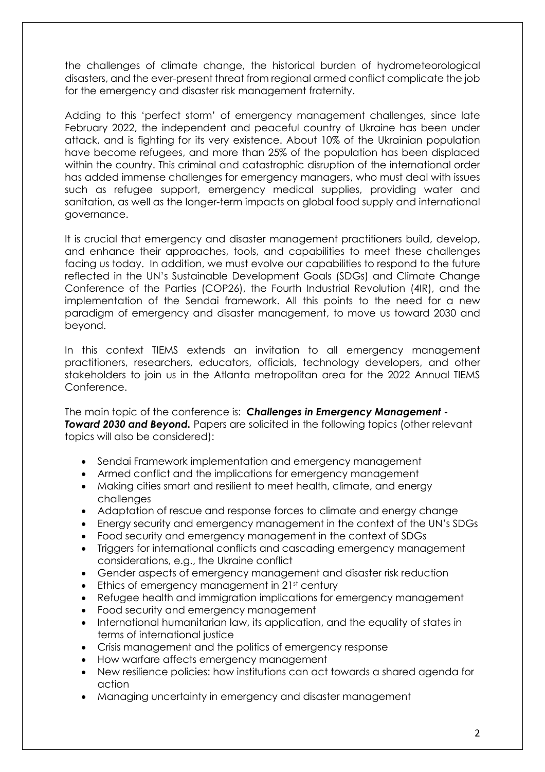the challenges of climate change, the historical burden of hydrometeorological disasters, and the ever-present threat from regional armed conflict complicate the job for the emergency and disaster risk management fraternity.

Adding to this 'perfect storm' of emergency management challenges, since late February 2022, the independent and peaceful country of Ukraine has been under attack, and is fighting for its very existence. About 10% of the Ukrainian population have become refugees, and more than 25% of the population has been displaced within the country. This criminal and catastrophic disruption of the international order has added immense challenges for emergency managers, who must deal with issues such as refugee support, emergency medical supplies, providing water and sanitation, as well as the longer-term impacts on global food supply and international governance.

It is crucial that emergency and disaster management practitioners build, develop, and enhance their approaches, tools, and capabilities to meet these challenges facing us today. In addition, we must evolve our capabilities to respond to the future reflected in the UN's Sustainable Development Goals (SDGs) and Climate Change Conference of the Parties (COP26), the Fourth Industrial Revolution (4IR), and the implementation of the Sendai framework. All this points to the need for a new paradigm of emergency and disaster management, to move us toward 2030 and beyond.

In this context TIEMS extends an invitation to all emergency management practitioners, researchers, educators, officials, technology developers, and other stakeholders to join us in the Atlanta metropolitan area for the 2022 Annual TIEMS Conference.

The main topic of the conference is: *Challenges in Emergency Management -* **Toward 2030 and Beyond.** Papers are solicited in the following topics (other relevant topics will also be considered):

- Sendai Framework implementation and emergency management
- Armed conflict and the implications for emergency management
- Making cities smart and resilient to meet health, climate, and energy challenges
- Adaptation of rescue and response forces to climate and energy change
- Energy security and emergency management in the context of the UN's SDGs
- Food security and emergency management in the context of SDGs
- Triggers for international conflicts and cascading emergency management considerations, e.g., the Ukraine conflict
- Gender aspects of emergency management and disaster risk reduction
- Ethics of emergency management in 21st century
- Refugee health and immigration implications for emergency management
- Food security and emergency management
- International humanitarian law, its application, and the equality of states in terms of international justice
- Crisis management and the politics of emergency response
- How warfare affects emergency management
- New resilience policies: how institutions can act towards a shared agenda for action
- Managing uncertainty in emergency and disaster management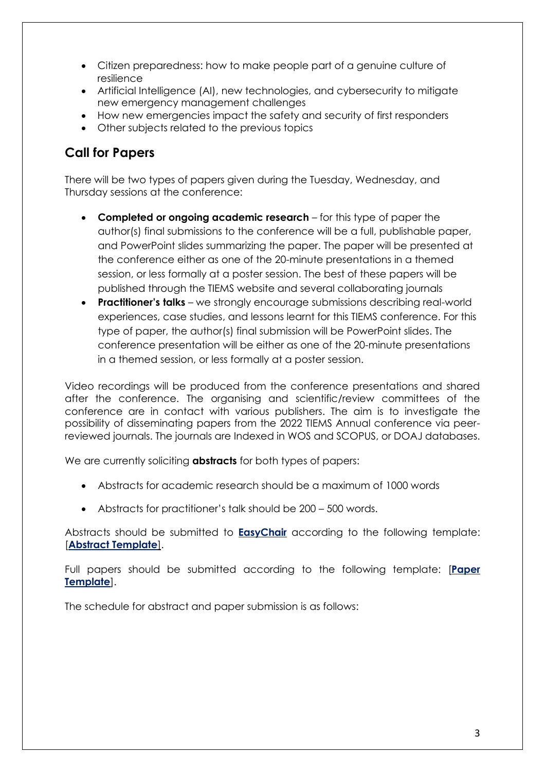- Citizen preparedness: how to make people part of a genuine culture of resilience
- Artificial Intelligence (AI), new technologies, and cybersecurity to mitigate new emergency management challenges
- How new emergencies impact the safety and security of first responders
- Other subjects related to the previous topics

#### **Call for Papers**

There will be two types of papers given during the Tuesday, Wednesday, and Thursday sessions at the conference:

- **Completed or ongoing academic research** for this type of paper the author(s) final submissions to the conference will be a full, publishable paper, and PowerPoint slides summarizing the paper. The paper will be presented at the conference either as one of the 20-minute presentations in a themed session, or less formally at a poster session. The best of these papers will be published through the TIEMS website and several collaborating journals
- **Practitioner's talks** we strongly encourage submissions describing real-world experiences, case studies, and lessons learnt for this TIEMS conference. For this type of paper, the author(s) final submission will be PowerPoint slides. The conference presentation will be either as one of the 20-minute presentations in a themed session, or less formally at a poster session.

Video recordings will be produced from the conference presentations and shared after the conference. The organising and scientific/review committees of the conference are in contact with various publishers. The aim is to investigate the possibility of disseminating papers from the 2022 TIEMS Annual conference via peerreviewed journals. The journals are Indexed in WOS and SCOPUS, or DOAJ databases.

We are currently soliciting **abstracts** for both types of papers:

- Abstracts for academic research should be a maximum of 1000 words
- Abstracts for practitioner's talk should be 200 500 words.

Abstracts should be submitted to **[EasyChair](https://easychair.org/conferences/?conf=tiemsac2022)** according to the following template: [**[Abstract Template](https://www.tiems.info/images/pdf/TIEMS_2022_Annual_Template_abstract_TIEMS_2022.doc)**].

Full papers should be submitted according to the following template: [**[Paper](https://www.tiems.info/images/pdf/TIEMS_2022_Annual_Template_paper_TIEMS_2022.doc)  [Template](https://www.tiems.info/images/pdf/TIEMS_2022_Annual_Template_paper_TIEMS_2022.doc)**].

The schedule for abstract and paper submission is as follows: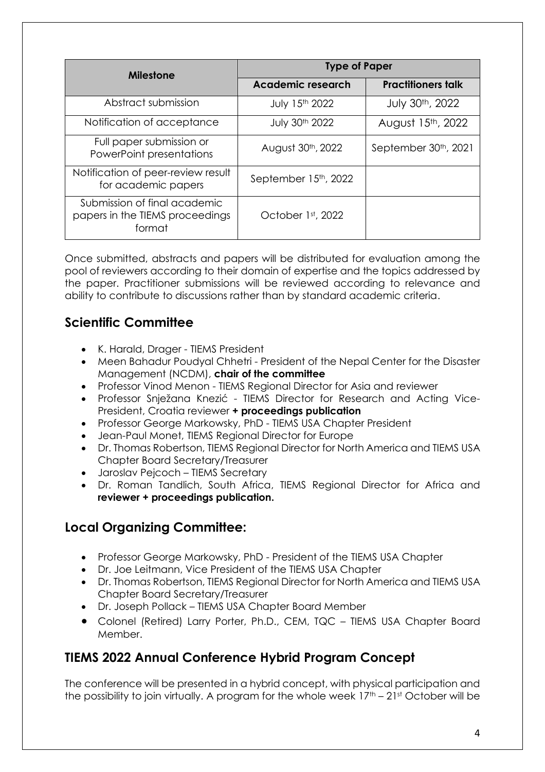| <b>Milestone</b>                                                          |                                | <b>Type of Paper</b>      |  |  |
|---------------------------------------------------------------------------|--------------------------------|---------------------------|--|--|
|                                                                           | <b>Academic research</b>       | <b>Practitioners talk</b> |  |  |
| Abstract submission                                                       | July 15th 2022                 | July 30th, 2022           |  |  |
| Notification of acceptance                                                | July 30th 2022                 | August 15th, 2022         |  |  |
| Full paper submission or<br>PowerPoint presentations                      | August 30 <sup>th</sup> , 2022 | September 30th, 2021      |  |  |
| Notification of peer-review result<br>for academic papers                 | September 15th, 2022           |                           |  |  |
| Submission of final academic<br>papers in the TIEMS proceedings<br>format | October 1st, 2022              |                           |  |  |

Once submitted, abstracts and papers will be distributed for evaluation among the pool of reviewers according to their domain of expertise and the topics addressed by the paper. Practitioner submissions will be reviewed according to relevance and ability to contribute to discussions rather than by standard academic criteria.

#### **Scientific Committee**

- K. Harald, Drager TIEMS President
- Meen Bahadur Poudyal Chhetri President of the Nepal Center for the Disaster Management (NCDM), **chair of the committee**
- Professor Vinod Menon TIEMS Regional Director for Asia and reviewer
- Professor Snježana Knezić TIEMS Director for Research and Acting Vice-President, Croatia reviewer **+ proceedings publication**
- Professor George Markowsky, PhD TIEMS USA Chapter President
- Jean-Paul Monet, TIEMS Regional Director for Europe
- Dr. Thomas Robertson, TIEMS Regional Director for North America and TIEMS USA Chapter Board Secretary/Treasurer
- Jaroslav Pejcoch TIEMS Secretary
- Dr. Roman Tandlich, South Africa, TIEMS Regional Director for Africa and **reviewer + proceedings publication.**

#### **Local Organizing Committee:**

- Professor George Markowsky, PhD President of the TIEMS USA Chapter
- Dr. Joe Leitmann, Vice President of the TIEMS USA Chapter
- Dr. Thomas Robertson, TIEMS Regional Director for North America and TIEMS USA Chapter Board Secretary/Treasurer
- Dr. Joseph Pollack TIEMS USA Chapter Board Member
- Colonel (Retired) Larry Porter, Ph.D., CEM, TQC TIEMS USA Chapter Board Member.

#### **TIEMS 2022 Annual Conference Hybrid Program Concept**

The conference will be presented in a hybrid concept, with physical participation and the possibility to join virtually. A program for the whole week  $17<sup>th</sup> - 21<sup>st</sup>$  October will be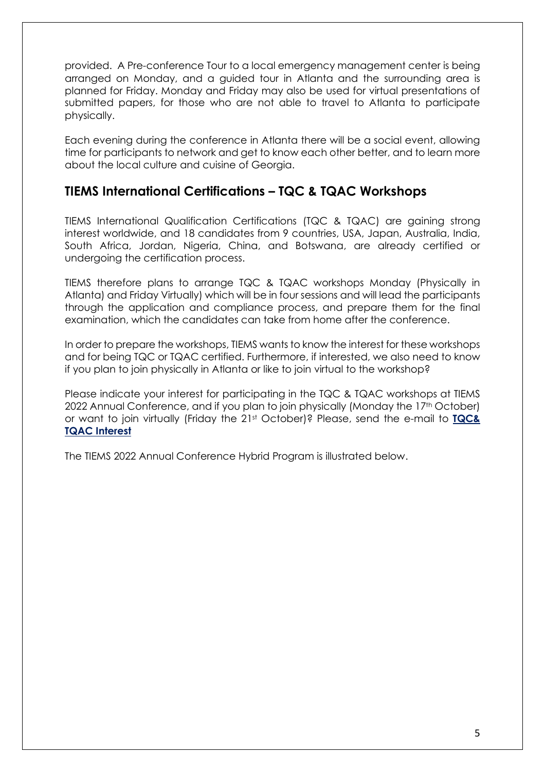provided. A Pre-conference Tour to a local emergency management center is being arranged on Monday, and a guided tour in Atlanta and the surrounding area is planned for Friday. Monday and Friday may also be used for virtual presentations of submitted papers, for those who are not able to travel to Atlanta to participate physically.

Each evening during the conference in Atlanta there will be a social event, allowing time for participants to network and get to know each other better, and to learn more about the local culture and cuisine of Georgia.

#### **TIEMS International Certifications – TQC & TQAC Workshops**

TIEMS International Qualification Certifications (TQC & TQAC) are gaining strong interest worldwide, and 18 candidates from 9 countries, USA, Japan, Australia, India, South Africa, Jordan, Nigeria, China, and Botswana, are already certified or undergoing the certification process.

TIEMS therefore plans to arrange TQC & TQAC workshops Monday (Physically in Atlanta) and Friday Virtually) which will be in four sessions and will lead the participants through the application and compliance process, and prepare them for the final examination, which the candidates can take from home after the conference.

In order to prepare the workshops, TIEMS wants to know the interest for these workshops and for being TQC or TQAC certified. Furthermore, if interested, we also need to know if you plan to join physically in Atlanta or like to join virtual to the workshop?

Please indicate your interest for participating in the TQC & TQAC workshops at TIEMS 2022 Annual Conference, and if you plan to join physically (Monday the 17<sup>th</sup> October) or want to join virtually (Friday the 21st October)? Please, send the e-mail to **[TQC&](mailto:larry.a.porter@gmail.com,%20khdrager@online.no)  [TQAC Interest](mailto:larry.a.porter@gmail.com,%20khdrager@online.no)**

The TIEMS 2022 Annual Conference Hybrid Program is illustrated below.